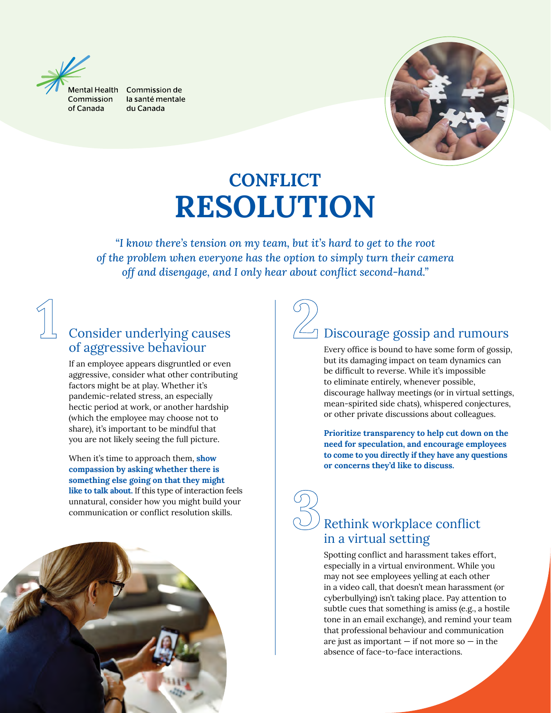

Aental Health Commission de la santé mentale du Canada



# **CONFLICT** RESOLUTION

*"I know there's tension on my team, but it's hard to get to the root of the problem when everyone has the option to simply turn their camera off and disengage, and I only hear about conflict second-hand."*



### Consider underlying causes of aggressive behaviour

If an employee appears disgruntled or even aggressive, consider what other contributing factors might be at play. Whether it's pandemic-related stress, an especially hectic period at work, or another hardship (which the employee may choose not to share), it's important to be mindful that you are not likely seeing the full picture.

When it's time to approach them, **show** compassion by asking whether there is something else going on that they might like to talk about. If this type of interaction feels unnatural, consider how you might build your communication or conflict resolution skills.



#### $\Box$  Discourage gossip and rumours

Every office is bound to have some form of gossip, but its damaging impact on team dynamics can be difficult to reverse. While it's impossible to eliminate entirely, whenever possible, discourage hallway meetings (or in virtual settings, mean-spirited side chats), whispered conjectures, or other private discussions about colleagues.

Prioritize transparency to help cut down on the need for speculation, and encourage employees to come to you directly if they have any questions or concerns they'd like to discuss.

## Rethink workplace conflict in a virtual setting

Spotting conflict and harassment takes effort, especially in a virtual environment. While you may not see employees yelling at each other in a video call, that doesn't mean harassment (or cyberbullying) isn't taking place. Pay attention to subtle cues that something is amiss (e.g., a hostile tone in an email exchange), and remind your team that professional behaviour and communication are just as important  $-$  if not more so  $-$  in the absence of face-to-face interactions.